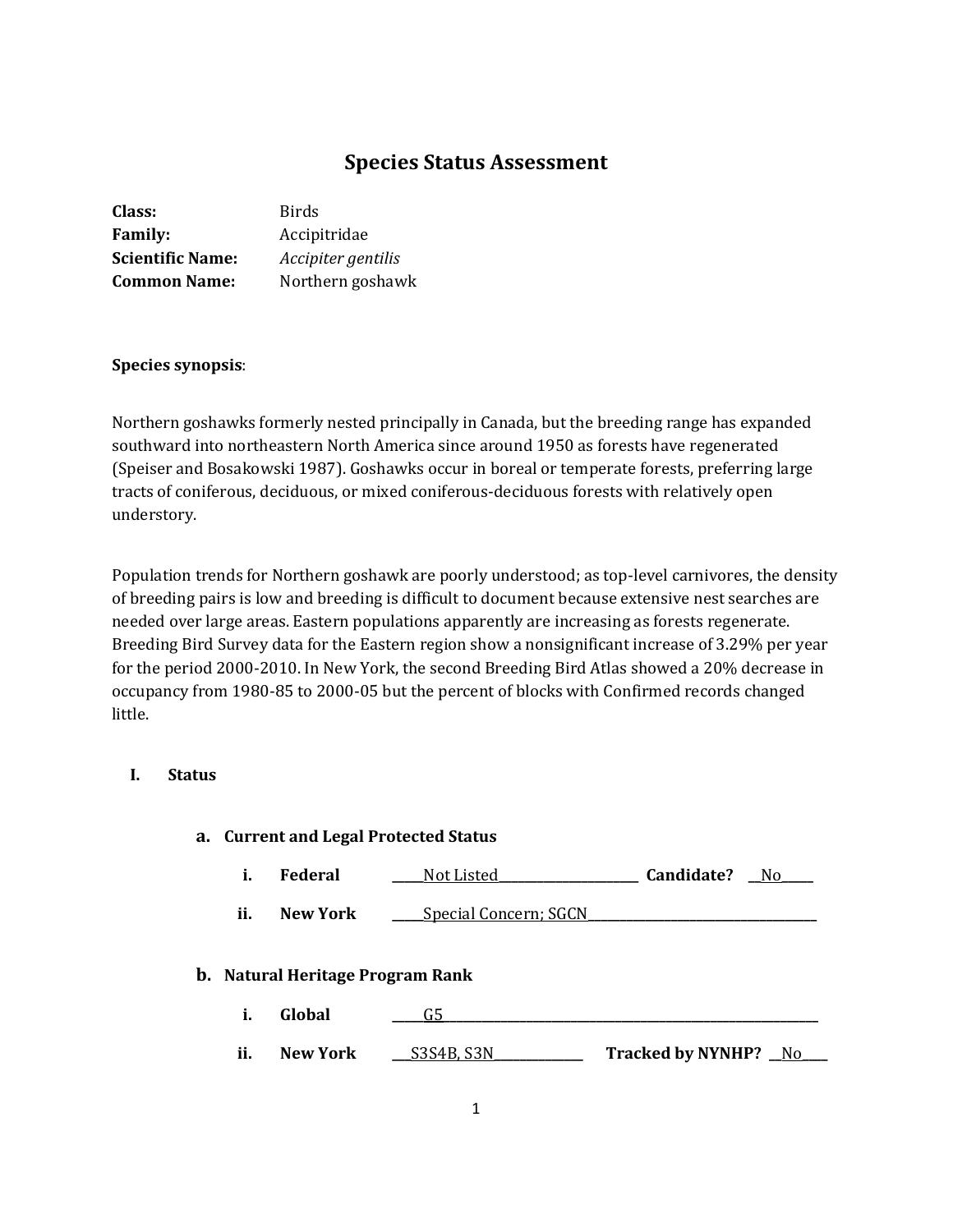# **Species Status Assessment**

| Class:                  | Birds              |
|-------------------------|--------------------|
| <b>Family:</b>          | Accipitridae       |
| <b>Scientific Name:</b> | Accipiter gentilis |
| <b>Common Name:</b>     | Northern goshawk   |

#### **Species synopsis**:

Northern goshawks formerly nested principally in Canada, but the breeding range has expanded southward into northeastern North America since around 1950 as forests have regenerated (Speiser and Bosakowski 1987). Goshawks occur in boreal or temperate forests, preferring large tracts of coniferous, deciduous, or mixed coniferous-deciduous forests with relatively open understory.

Population trends for Northern goshawk are poorly understood; as top-level carnivores, the density of breeding pairs is low and breeding is difficult to document because extensive nest searches are needed over large areas. Eastern populations apparently are increasing as forests regenerate. Breeding Bird Survey data for the Eastern region show a nonsignificant increase of 3.29% per year for the period 2000-2010. In New York, the second Breeding Bird Atlas showed a 20% decrease in occupancy from 1980-85 to 2000-05 but the percent of blocks with Confirmed records changed little.

## **I. Status**

# **a. Current and Legal Protected Status i. Federal \_\_\_\_\_**Not Listed**\_\_\_\_\_\_\_\_\_\_\_\_\_\_\_\_\_\_\_\_\_\_ Candidate? \_\_**No**\_\_\_\_\_ ii. New York \_\_\_\_**Special Concern; SGCN **b. Natural Heritage Program Rank i. Global \_\_\_\_\_**G5**\_\_\_\_\_\_\_\_\_\_\_\_\_\_\_\_\_\_\_\_\_\_\_\_\_\_\_\_\_\_\_\_\_\_\_\_\_\_\_\_\_\_\_\_\_\_\_\_\_\_\_\_\_\_\_\_\_\_\_ ii. New York \_\_\_**S3S4B, S3N**\_\_\_\_\_\_\_\_\_\_\_\_\_\_ Tracked by NYNHP? \_\_**No**\_\_\_\_**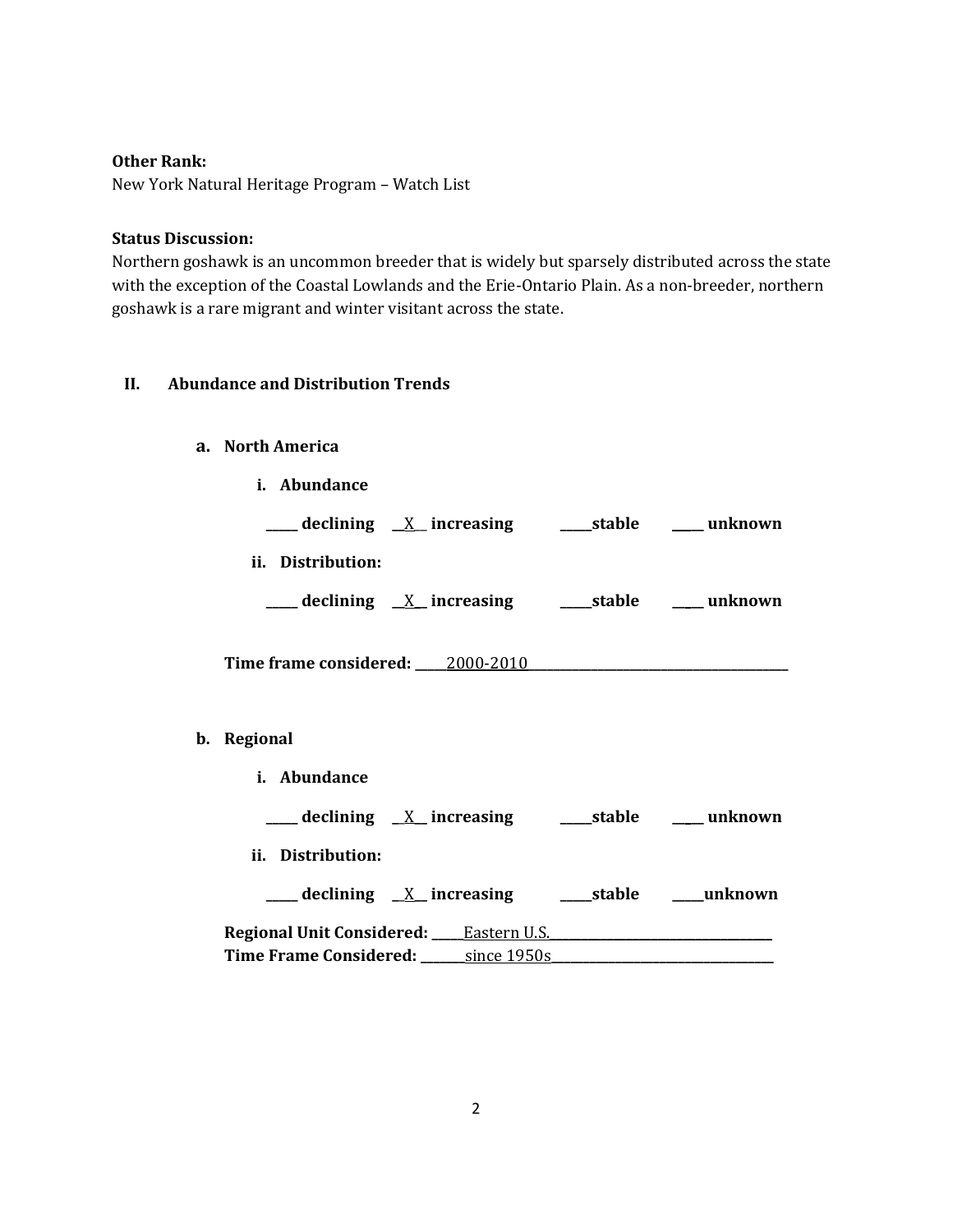## **Other Rank:**

New York Natural Heritage Program – Watch List

#### **Status Discussion:**

Northern goshawk is an uncommon breeder that is widely but sparsely distributed across the state with the exception of the Coastal Lowlands and the Erie-Ontario Plain. As a non-breeder, northern goshawk is a rare migrant and winter visitant across the state.

## **II. Abundance and Distribution Trends**

## **a. North America**

|             | <i>i.</i> Abundance                                                |  |
|-------------|--------------------------------------------------------------------|--|
|             | ____ declining <u>X</u> _increasing ______stable _____ unknown     |  |
|             | ii. Distribution:                                                  |  |
|             | ____ declining _ <u>X_</u> increasing _______stable ______ unknown |  |
|             | Time frame considered: 2000-2010                                   |  |
| b. Regional |                                                                    |  |
|             | <i>i.</i> Abundance                                                |  |

| declining $X$ increasing                         |             | stable | unknown |
|--------------------------------------------------|-------------|--------|---------|
| ii. Distribution:                                |             |        |         |
| $\frac{1}{2}$ declining $\frac{X}{X}$ increasing |             | stable | unknown |
| <b>Regional Unit Considered:</b> Constant U.S.   |             |        |         |
| <b>Time Frame Considered:</b>                    | since 1950s |        |         |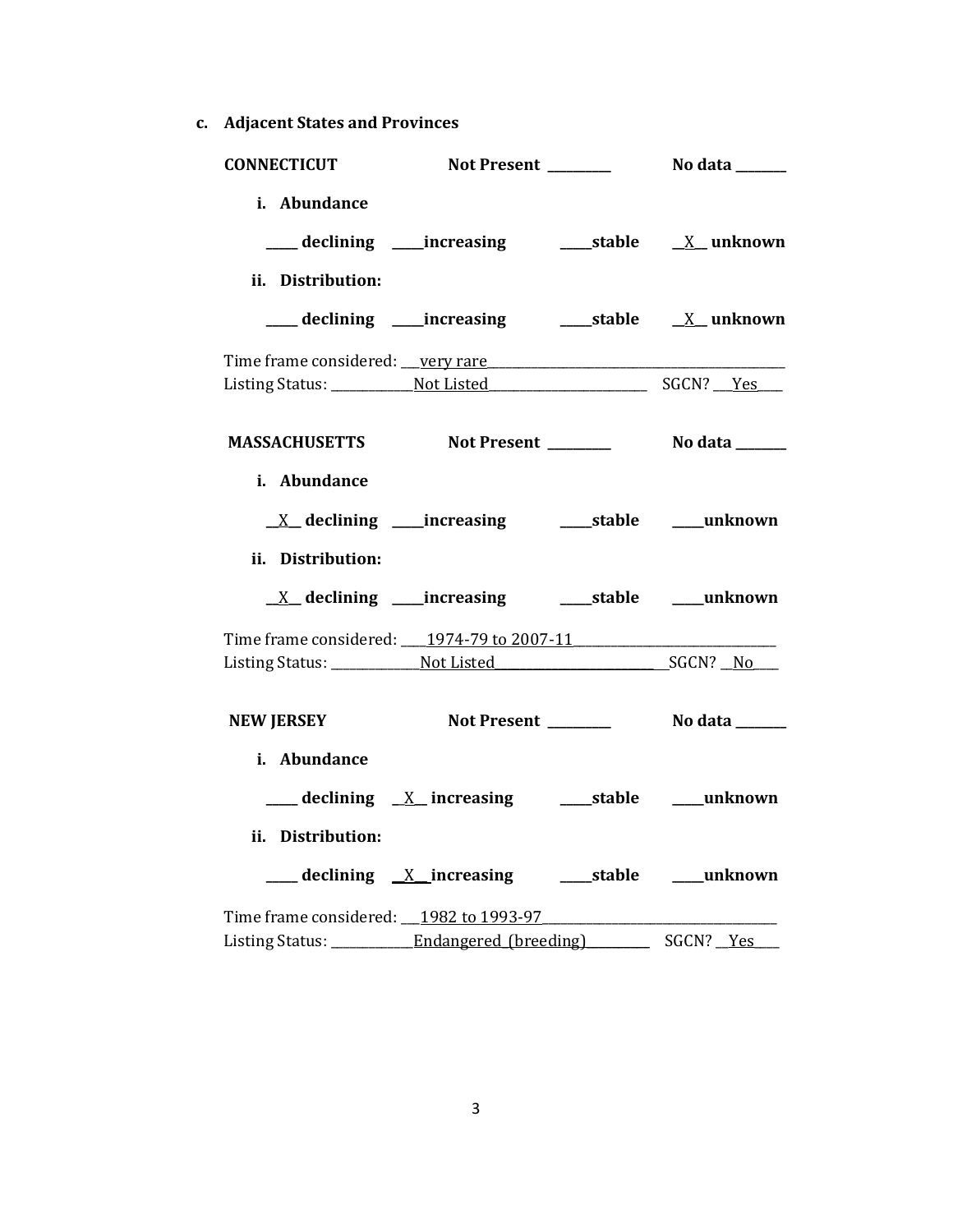**c. Adjacent States and Provinces**

| <b>CONNECTICUT</b>                                                                          |                                                            |           |
|---------------------------------------------------------------------------------------------|------------------------------------------------------------|-----------|
| i. Abundance<br>ii. Distribution:                                                           |                                                            |           |
|                                                                                             |                                                            |           |
| Time frame considered: very rare                                                            |                                                            |           |
| MASSACHUSETTS Not Present __________ No data ______                                         |                                                            |           |
| i. Abundance<br>ii. Distribution:                                                           |                                                            |           |
|                                                                                             | <u>X</u> declining ____increasing ______stable ____unknown |           |
|                                                                                             |                                                            |           |
| <b>NEW JERSEY</b>                                                                           |                                                            |           |
| i. Abundance<br>ii. Distribution:                                                           |                                                            |           |
|                                                                                             | declining X increasing stable must unknown                 |           |
| Time frame considered: 1982 to 1993-97<br>Listing Status: ___________ Endangered (breeding) |                                                            | SGCN? Yes |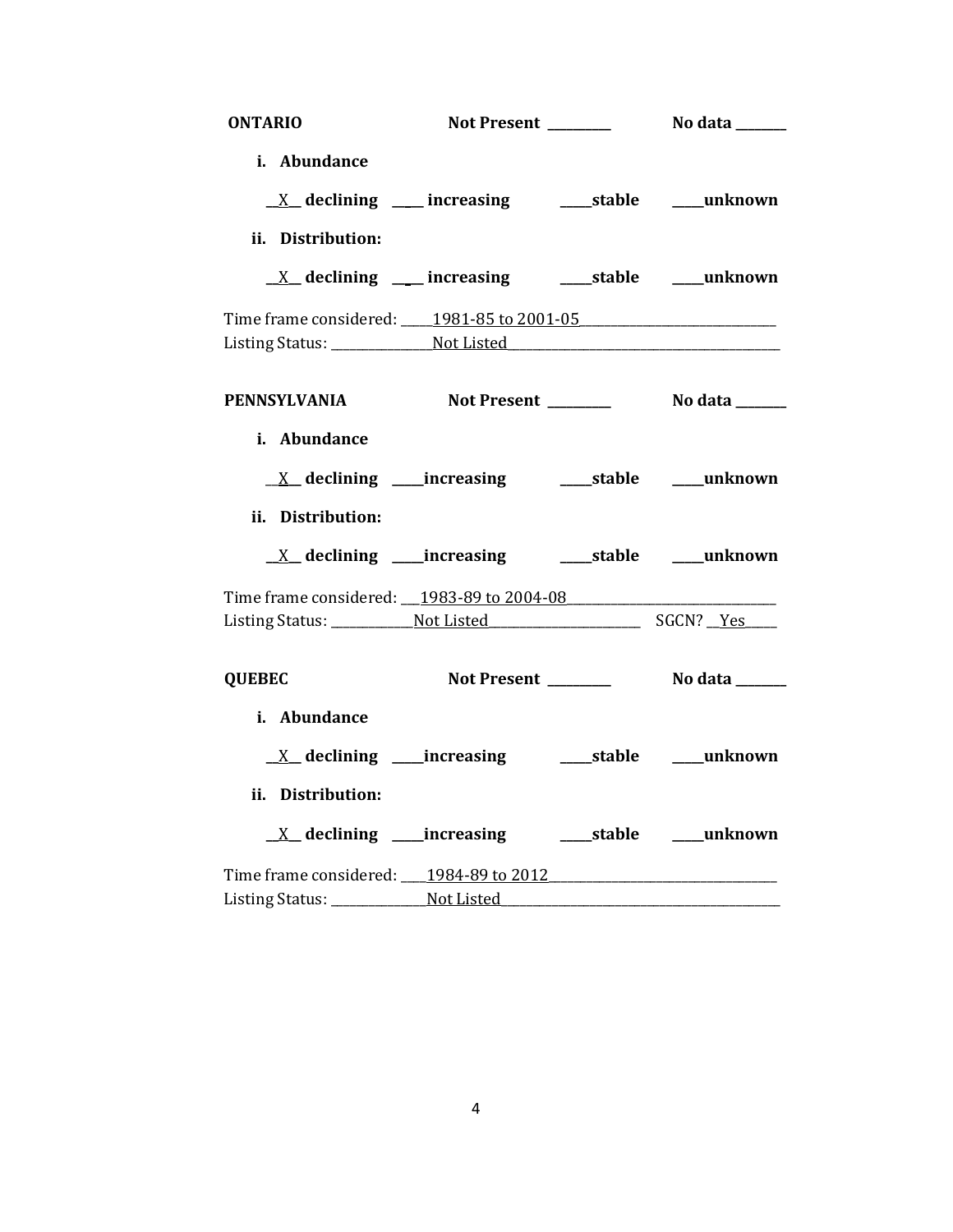| <b>ONTARIO</b>                                   |                                                             |                |
|--------------------------------------------------|-------------------------------------------------------------|----------------|
| i. Abundance                                     |                                                             |                |
|                                                  |                                                             |                |
|                                                  | <u>X</u> declining ___ increasing ____ stable ___ unknown   |                |
| ii. Distribution:                                |                                                             |                |
|                                                  | <u>X</u> declining ___ increasing ____ stable ___ unknown   |                |
| Time frame considered: 1981-85 to 2001-05        |                                                             |                |
|                                                  |                                                             |                |
|                                                  |                                                             |                |
| PENNSYLVANIA Not Present ________ No data ______ |                                                             |                |
| i. Abundance                                     |                                                             |                |
|                                                  |                                                             |                |
|                                                  | <u>X</u> declining ____increasing _______stable ____unknown |                |
| ii. Distribution:                                |                                                             |                |
|                                                  | <u>X</u> declining ____increasing _______stable ____unknown |                |
| Time frame considered: 1983-89 to 2004-08        |                                                             |                |
|                                                  |                                                             |                |
|                                                  |                                                             |                |
| <b>QUEBEC</b>                                    | Not Present ______                                          | No data ______ |
| i. Abundance                                     |                                                             |                |
|                                                  |                                                             |                |
|                                                  | <u>X</u> declining ____increasing ______stable ____unknown  |                |
| ii. Distribution:                                |                                                             |                |
|                                                  |                                                             |                |
| Time frame considered: 1984-89 to 2012           |                                                             |                |
|                                                  |                                                             |                |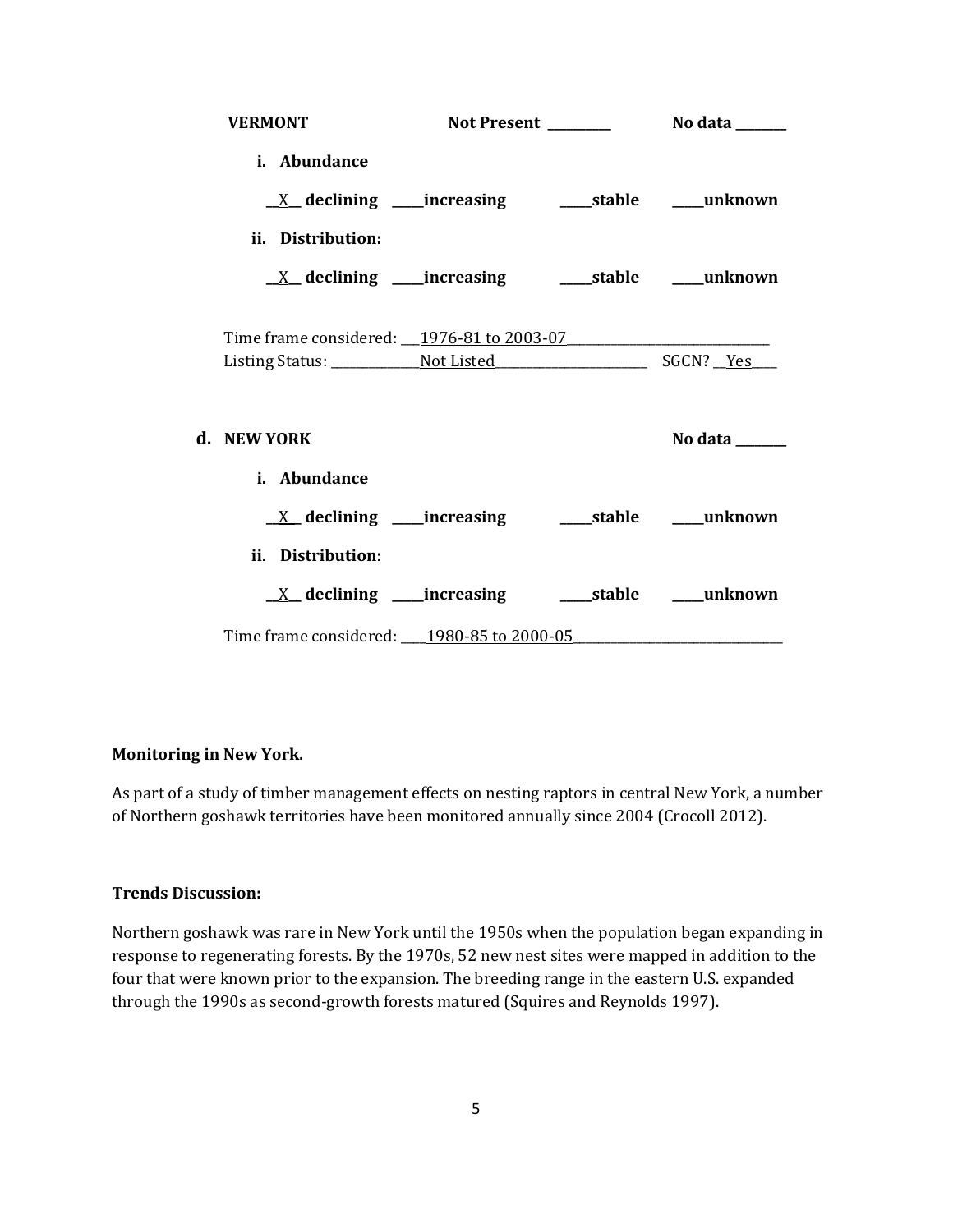| <b>VERMONT</b>                                                            |  |                |
|---------------------------------------------------------------------------|--|----------------|
| i. Abundance                                                              |  |                |
|                                                                           |  |                |
| ii. Distribution:                                                         |  |                |
| $\underline{X}$ declining ____increasing __________stable ______unknown   |  |                |
|                                                                           |  |                |
| Time frame considered: 1976-81 to 2003-07                                 |  |                |
|                                                                           |  |                |
| d. NEW YORK                                                               |  | No data ______ |
| <i>i.</i> Abundance                                                       |  |                |
| $\underline{X}$ declining ____increasing ___________stable _______unknown |  |                |
| ii. Distribution:                                                         |  |                |
| $\underline{X}$ declining ____increasing __________stable ______unknown   |  |                |
| Time frame considered: 1980-85 to 2000-05                                 |  |                |

## **Monitoring in New York.**

As part of a study of timber management effects on nesting raptors in central New York, a number of Northern goshawk territories have been monitored annually since 2004 (Crocoll 2012).

# **Trends Discussion:**

Northern goshawk was rare in New York until the 1950s when the population began expanding in response to regenerating forests. By the 1970s, 52 new nest sites were mapped in addition to the four that were known prior to the expansion. The breeding range in the eastern U.S. expanded through the 1990s as second-growth forests matured (Squires and Reynolds 1997).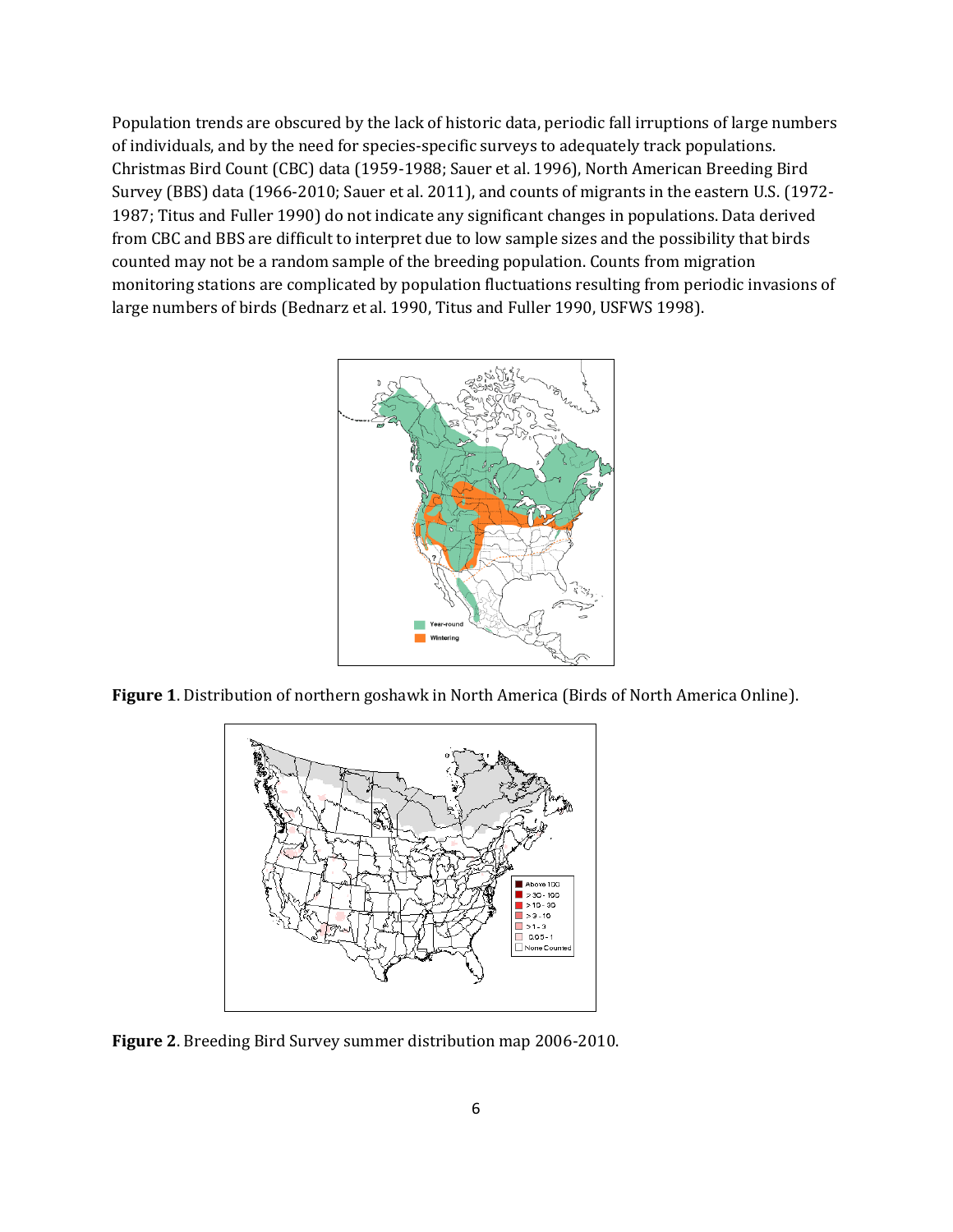Population trends are obscured by the lack of historic data, periodic fall irruptions of large numbers of individuals, and by the need for species-specific surveys to adequately track populations. Christmas Bird Count (CBC) data (1959-1988; Sauer et al. 1996), North American Breeding Bird Survey (BBS) data (1966-2010; Sauer et al. 2011), and counts of migrants in the eastern U.S. (1972- 1987; Titus and Fuller 1990) do not indicate any significant changes in populations. Data derived from CBC and BBS are difficult to interpret due to low sample sizes and the possibility that birds counted may not be a random sample of the breeding population. Counts from migration monitoring stations are complicated by population fluctuations resulting from periodic invasions of large numbers of birds (Bednarz et al. 1990, Titus and Fuller 1990, USFWS 1998).



**Figure 1**. Distribution of northern goshawk in North America (Birds of North America Online).



**Figure 2**. Breeding Bird Survey summer distribution map 2006-2010.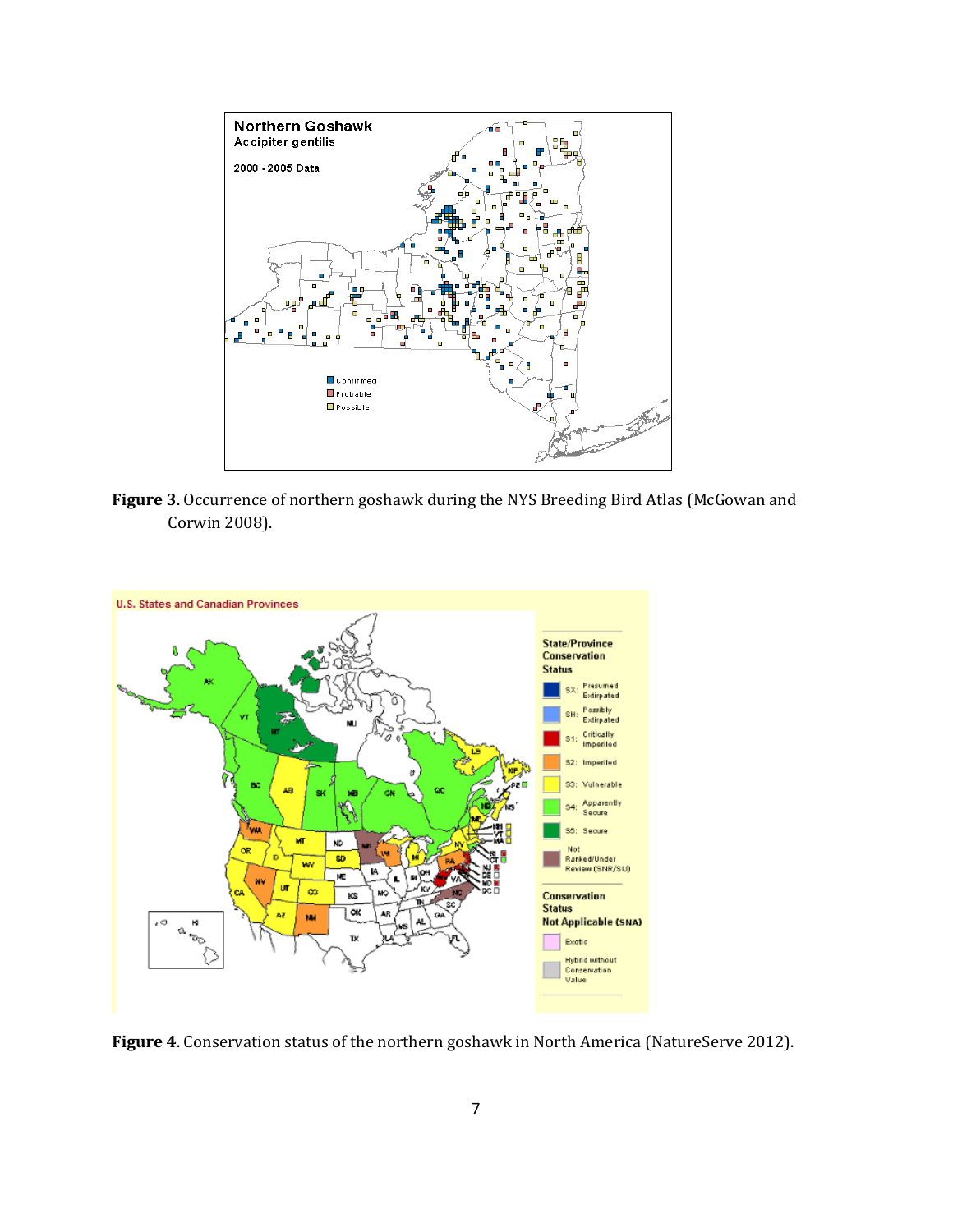

**Figure 3**. Occurrence of northern goshawk during the NYS Breeding Bird Atlas (McGowan and Corwin 2008).



**Figure 4**. Conservation status of the northern goshawk in North America (NatureServe 2012).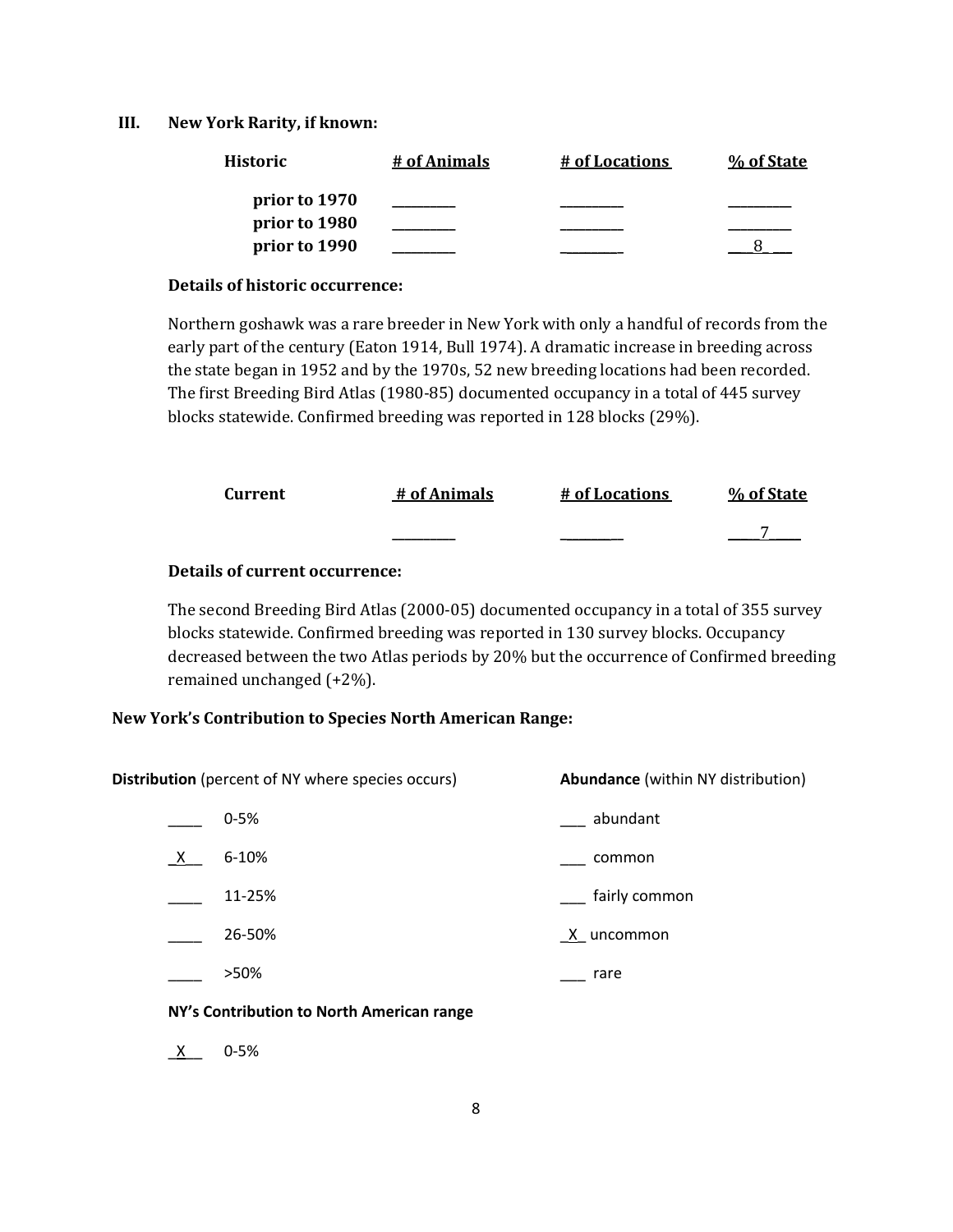#### **III. New York Rarity, if known:**

| Historic      | # of Animals | # of Locations | % of State |
|---------------|--------------|----------------|------------|
| prior to 1970 |              |                |            |
| prior to 1980 |              |                |            |
| prior to 1990 |              |                |            |

#### **Details of historic occurrence:**

Northern goshawk was a rare breeder in New York with only a handful of records from the early part of the century (Eaton 1914, Bull 1974). A dramatic increase in breeding across the state began in 1952 and by the 1970s, 52 new breeding locations had been recorded. The first Breeding Bird Atlas (1980-85) documented occupancy in a total of 445 survey blocks statewide. Confirmed breeding was reported in 128 blocks (29%).

| Current | # of Animals | # of Locations | % of State |
|---------|--------------|----------------|------------|
|         | _______      |                |            |

#### **Details of current occurrence:**

The second Breeding Bird Atlas (2000-05) documented occupancy in a total of 355 survey blocks statewide. Confirmed breeding was reported in 130 survey blocks. Occupancy decreased between the two Atlas periods by 20% but the occurrence of Confirmed breeding remained unchanged (+2%).

## **New York's Contribution to Species North American Range:**

**Distribution** (percent of NY where species occurs) **Abundance** (within NY distribution) \_\_\_\_ 0-5% \_\_\_ abundant \_X\_\_ 6-10% \_\_\_ common \_\_\_\_ 11-25% \_\_\_ fairly common 26-50%  $X$  uncommon >50% **\_\_\_ rare** 

#### **NY's Contribution to North American range**

\_X\_\_ 0-5%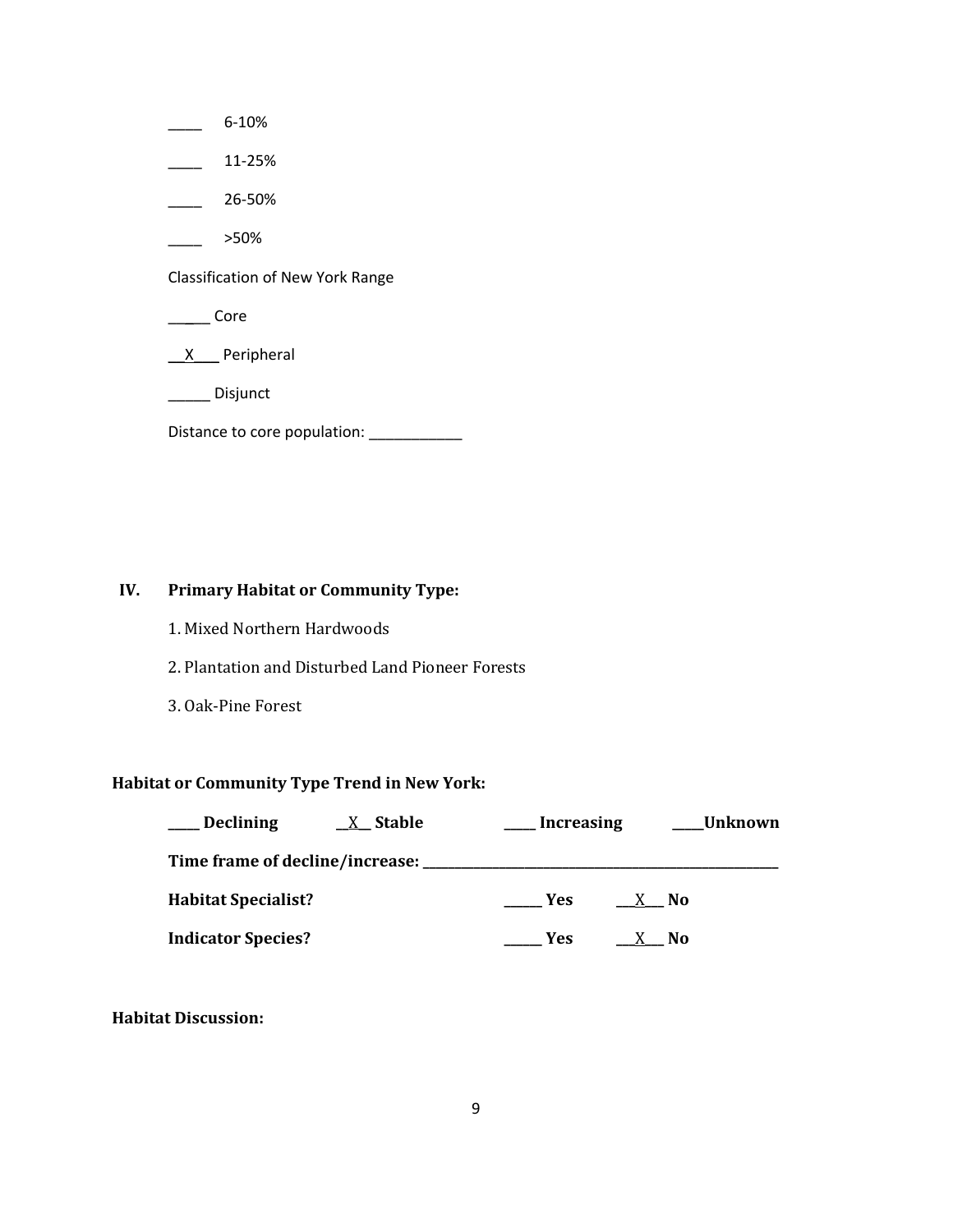$\frac{6-10\%}{2}$  $\frac{11-25\%}{1}$ \_\_\_\_ 26-50%  $>50\%$ Classification of New York Range \_\_\_\_\_ Core \_\_X\_\_\_ Peripheral \_\_\_\_\_ Disjunct Distance to core population: \_\_\_\_\_\_\_\_\_\_\_\_\_

# **IV. Primary Habitat or Community Type:**

- 1. Mixed Northern Hardwoods
- 2. Plantation and Disturbed Land Pioneer Forests
- 3. Oak-Pine Forest

# **Habitat or Community Type Trend in New York:**

| <b>Declining</b>                | X Stable | <b>Increasing</b> | <b>Unknown</b> |  |
|---------------------------------|----------|-------------------|----------------|--|
| Time frame of decline/increase: |          |                   |                |  |
| <b>Habitat Specialist?</b>      |          | Yes.              | X No           |  |
| <b>Indicator Species?</b>       |          | Yes               | No.            |  |

**Habitat Discussion:**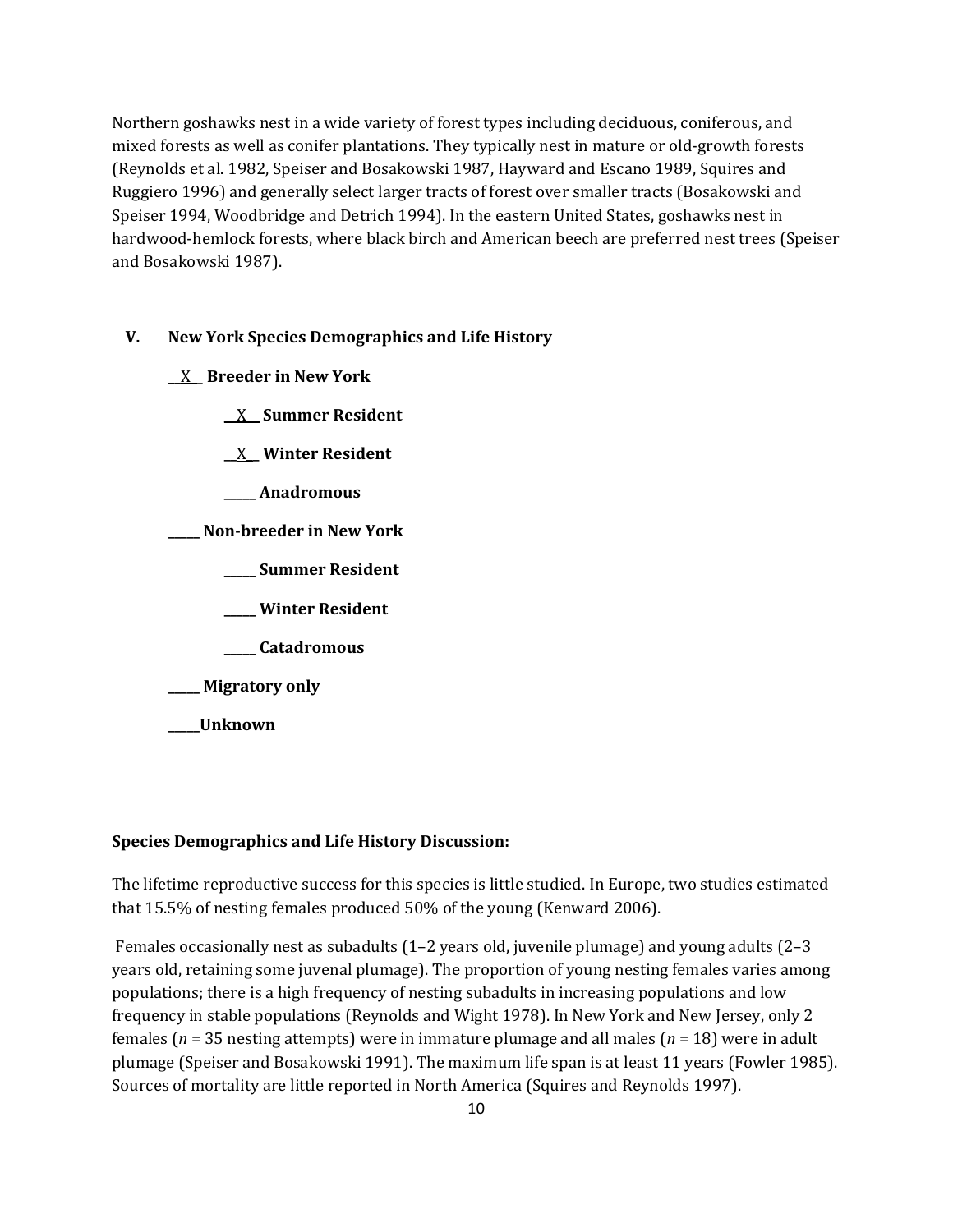Northern goshawks nest in a wide variety of forest types including deciduous, coniferous, and mixed forests as well as conifer plantations. They typically nest in mature or old-growth forests (Reynolds et al. 1982, Speiser and Bosakowski 1987, Hayward and Escano 1989, Squires and Ruggiero 1996) and generally select larger tracts of forest over smaller tracts (Bosakowski and Speiser 1994, Woodbridge and Detrich 1994). In the eastern United States, goshawks nest in hardwood-hemlock forests, where black birch and American beech are preferred nest trees (Speiser and Bosakowski 1987).

## **V. New York Species Demographics and Life History**

- **\_\_**X\_\_ **Breeder in New York**
	- **\_\_**X**\_\_ Summer Resident**
	- **\_\_**X**\_\_ Winter Resident**
	- **\_\_\_\_\_ Anadromous**
- **\_\_\_\_\_ Non-breeder in New York**
	- **\_\_\_\_\_ Summer Resident**
	- **\_\_\_\_\_ Winter Resident**
	- **\_\_\_\_\_ Catadromous**
- **\_\_\_\_\_ Migratory only**
- **\_\_\_\_\_Unknown**

## **Species Demographics and Life History Discussion:**

The lifetime reproductive success for this species is little studied. In Europe, two studies estimated that 15.5% of nesting females produced 50% of the young (Kenward 2006).

Females occasionally nest as subadults (1–2 years old, juvenile plumage) and young adults (2–3 years old, retaining some juvenal plumage). The proportion of young nesting females varies among populations; there is a high frequency of nesting subadults in increasing populations and low frequency in stable populations (Reynolds and Wight 1978). In New York and New Jersey, only 2 females (*n* = 35 nesting attempts) were in immature plumage and all males (*n* = 18) were in adult plumage (Speiser and Bosakowski 1991). The maximum life span is at least 11 years (Fowler 1985). Sources of mortality are little reported in North America (Squires and Reynolds 1997).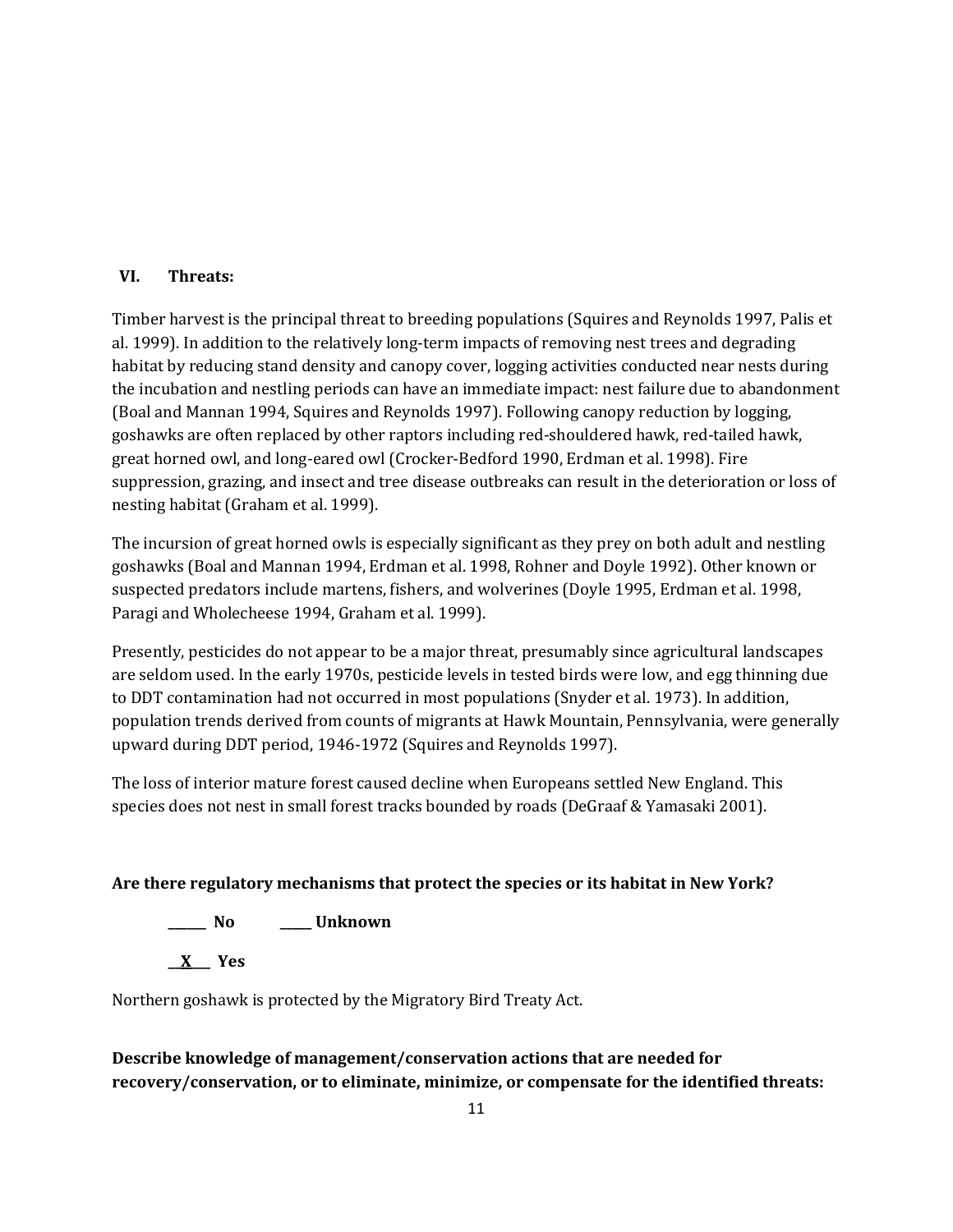# **VI. Threats:**

Timber harvest is the principal threat to breeding populations (Squires and Reynolds 1997, Palis et al. 1999). In addition to the relatively long-term impacts of removing nest trees and degrading habitat by reducing stand density and canopy cover, logging activities conducted near nests during the incubation and nestling periods can have an immediate impact: nest failure due to abandonment (Boal and Mannan 1994, Squires and Reynolds 1997). Following canopy reduction by logging, goshawks are often replaced by other raptors including red-shouldered hawk, red-tailed hawk, great horned owl, and long-eared owl (Crocker-Bedford 1990, Erdman et al. 1998). Fire suppression, grazing, and insect and tree disease outbreaks can result in the deterioration or loss of nesting habitat (Graham et al. 1999).

The incursion of great horned owls is especially significant as they prey on both adult and nestling goshawks (Boal and Mannan 1994, Erdman et al. 1998, Rohner and Doyle 1992). Other known or suspected predators include martens, fishers, and wolverines (Doyle 1995, Erdman et al. 1998, Paragi and Wholecheese 1994, Graham et al. 1999).

Presently, pesticides do not appear to be a major threat, presumably since agricultural landscapes are seldom used. In the early 1970s, pesticide levels in tested birds were low, and egg thinning due to DDT contamination had not occurred in most populations (Snyder et al. 1973). In addition, population trends derived from counts of migrants at Hawk Mountain, Pennsylvania, were generally upward during DDT period, 1946-1972 (Squires and Reynolds 1997).

The loss of interior mature forest caused decline when Europeans settled New England. This species does not nest in small forest tracks bounded by roads (DeGraaf & Yamasaki 2001).

# **Are there regulatory mechanisms that protect the species or its habitat in New York?**

**\_\_\_\_\_\_ No \_\_\_\_\_ Unknown**

**\_\_X\_\_\_ Yes** 

Northern goshawk is protected by the Migratory Bird Treaty Act.

# **Describe knowledge of management/conservation actions that are needed for recovery/conservation, or to eliminate, minimize, or compensate for the identified threats:**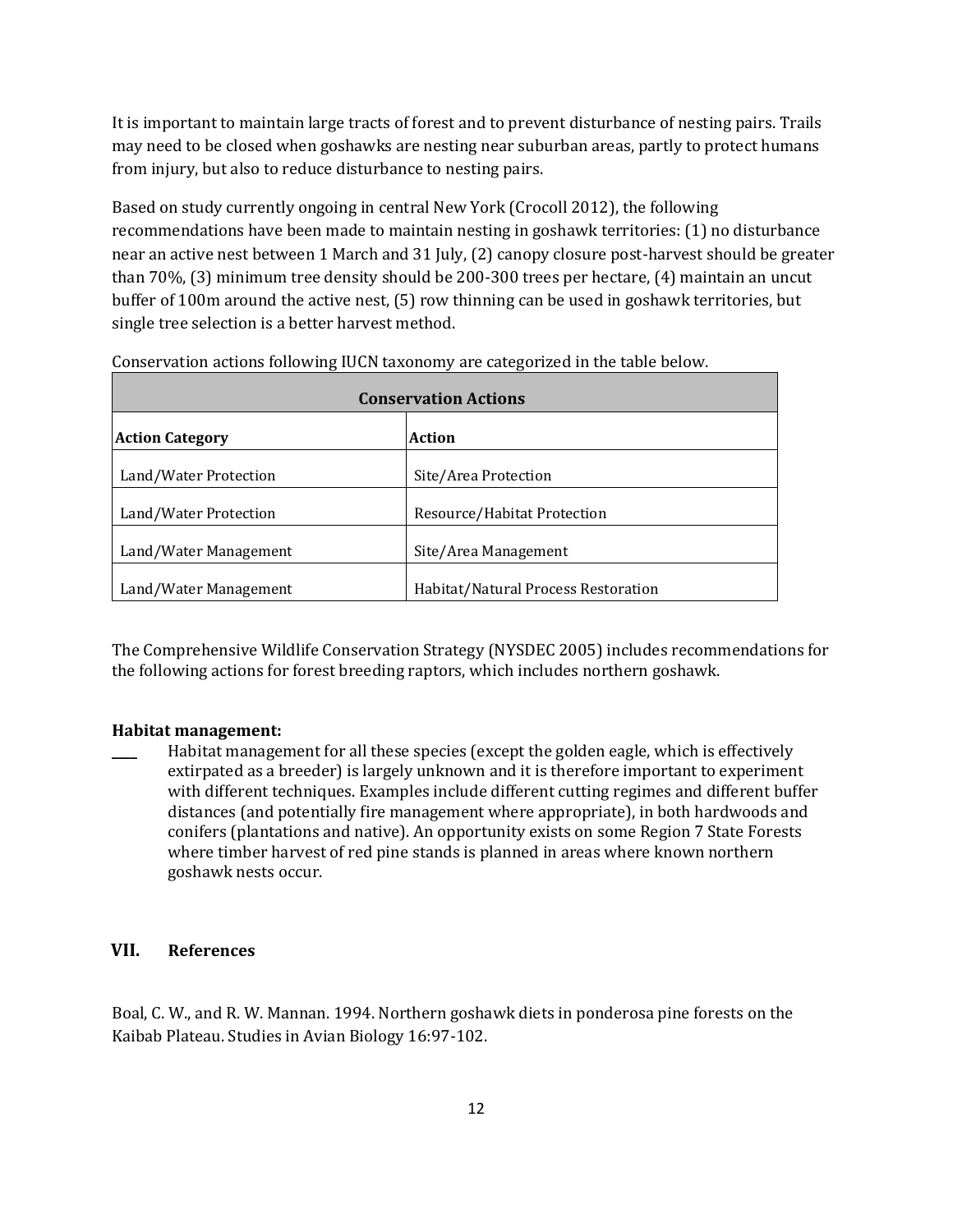It is important to maintain large tracts of forest and to prevent disturbance of nesting pairs. Trails may need to be closed when goshawks are nesting near suburban areas, partly to protect humans from injury, but also to reduce disturbance to nesting pairs.

Based on study currently ongoing in central New York (Crocoll 2012), the following recommendations have been made to maintain nesting in goshawk territories: (1) no disturbance near an active nest between 1 March and 31 July, (2) canopy closure post-harvest should be greater than 70%, (3) minimum tree density should be 200-300 trees per hectare, (4) maintain an uncut buffer of 100m around the active nest, (5) row thinning can be used in goshawk territories, but single tree selection is a better harvest method.

| <b>Conservation Actions</b>             |                                     |  |
|-----------------------------------------|-------------------------------------|--|
| <b>Action</b><br><b>Action Category</b> |                                     |  |
| Land/Water Protection                   | Site/Area Protection                |  |
| Land/Water Protection                   | Resource/Habitat Protection         |  |
| Land/Water Management                   | Site/Area Management                |  |
| Land/Water Management                   | Habitat/Natural Process Restoration |  |

Conservation actions following IUCN taxonomy are categorized in the table below.

The Comprehensive Wildlife Conservation Strategy (NYSDEC 2005) includes recommendations for the following actions for forest breeding raptors, which includes northern goshawk.

#### **Habitat management:**

Habitat management for all these species (except the golden eagle, which is effectively extirpated as a breeder) is largely unknown and it is therefore important to experiment with different techniques. Examples include different cutting regimes and different buffer distances (and potentially fire management where appropriate), in both hardwoods and conifers (plantations and native). An opportunity exists on some Region 7 State Forests where timber harvest of red pine stands is planned in areas where known northern goshawk nests occur.

## **VII. References**

Boal, C. W., and R. W. Mannan. 1994. Northern goshawk diets in ponderosa pine forests on the Kaibab Plateau. Studies in Avian Biology 16:97-102.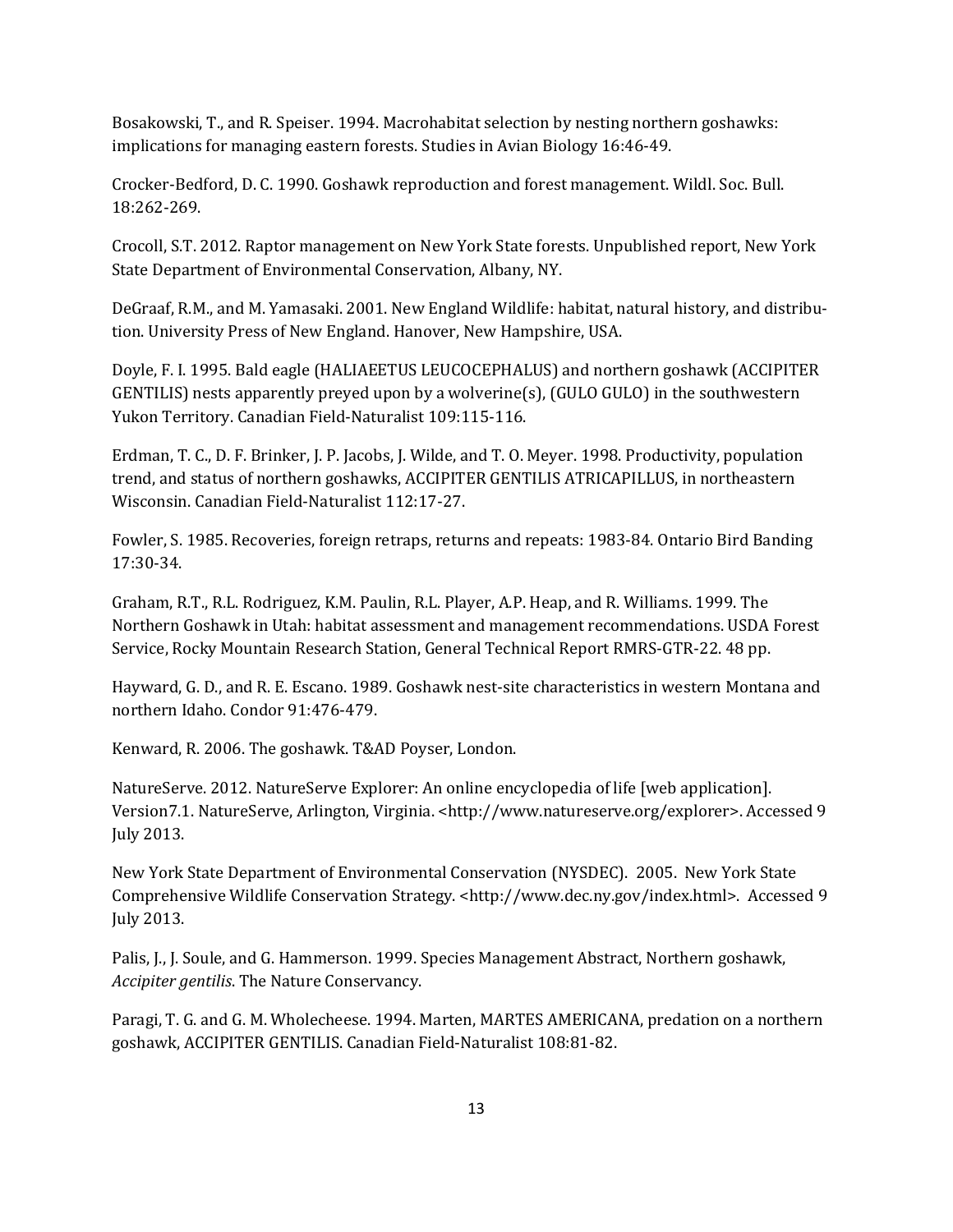Bosakowski, T., and R. Speiser. 1994. Macrohabitat selection by nesting northern goshawks: implications for managing eastern forests. Studies in Avian Biology 16:46-49.

Crocker-Bedford, D. C. 1990. Goshawk reproduction and forest management. Wildl. Soc. Bull. 18:262-269.

Crocoll, S.T. 2012. Raptor management on New York State forests. Unpublished report, New York State Department of Environmental Conservation, Albany, NY.

DeGraaf, R.M., and M. Yamasaki. 2001. New England Wildlife: habitat, natural history, and distribution. University Press of New England. Hanover, New Hampshire, USA.

Doyle, F. I. 1995. Bald eagle (HALIAEETUS LEUCOCEPHALUS) and northern goshawk (ACCIPITER GENTILIS) nests apparently preyed upon by a wolverine(s), (GULO GULO) in the southwestern Yukon Territory. Canadian Field-Naturalist 109:115-116.

Erdman, T. C., D. F. Brinker, J. P. Jacobs, J. Wilde, and T. O. Meyer. 1998. Productivity, population trend, and status of northern goshawks, ACCIPITER GENTILIS ATRICAPILLUS, in northeastern Wisconsin. Canadian Field-Naturalist 112:17-27.

Fowler, S. 1985. Recoveries, foreign retraps, returns and repeats: 1983-84. Ontario Bird Banding 17:30-34.

Graham, R.T., R.L. Rodriguez, K.M. Paulin, R.L. Player, A.P. Heap, and R. Williams. 1999. The Northern Goshawk in Utah: habitat assessment and management recommendations. USDA Forest Service, Rocky Mountain Research Station, General Technical Report RMRS-GTR-22. 48 pp.

Hayward, G. D., and R. E. Escano. 1989. Goshawk nest-site characteristics in western Montana and northern Idaho. Condor 91:476-479.

Kenward, R. 2006. The goshawk. T&AD Poyser, London.

NatureServe. 2012. NatureServe Explorer: An online encyclopedia of life [web application]. Version7.1. NatureServe, Arlington, Virginia. <http://www.natureserve.org/explorer>. Accessed 9 July 2013.

New York State Department of Environmental Conservation (NYSDEC). 2005. New York State Comprehensive Wildlife Conservation Strategy. <http://www.dec.ny.gov/index.html>. Accessed 9 July 2013.

Palis, J., J. Soule, and G. Hammerson. 1999. Species Management Abstract, Northern goshawk, *Accipiter gentilis*. The Nature Conservancy.

Paragi, T. G. and G. M. Wholecheese. 1994. Marten, MARTES AMERICANA, predation on a northern goshawk, ACCIPITER GENTILIS. Canadian Field-Naturalist 108:81-82.